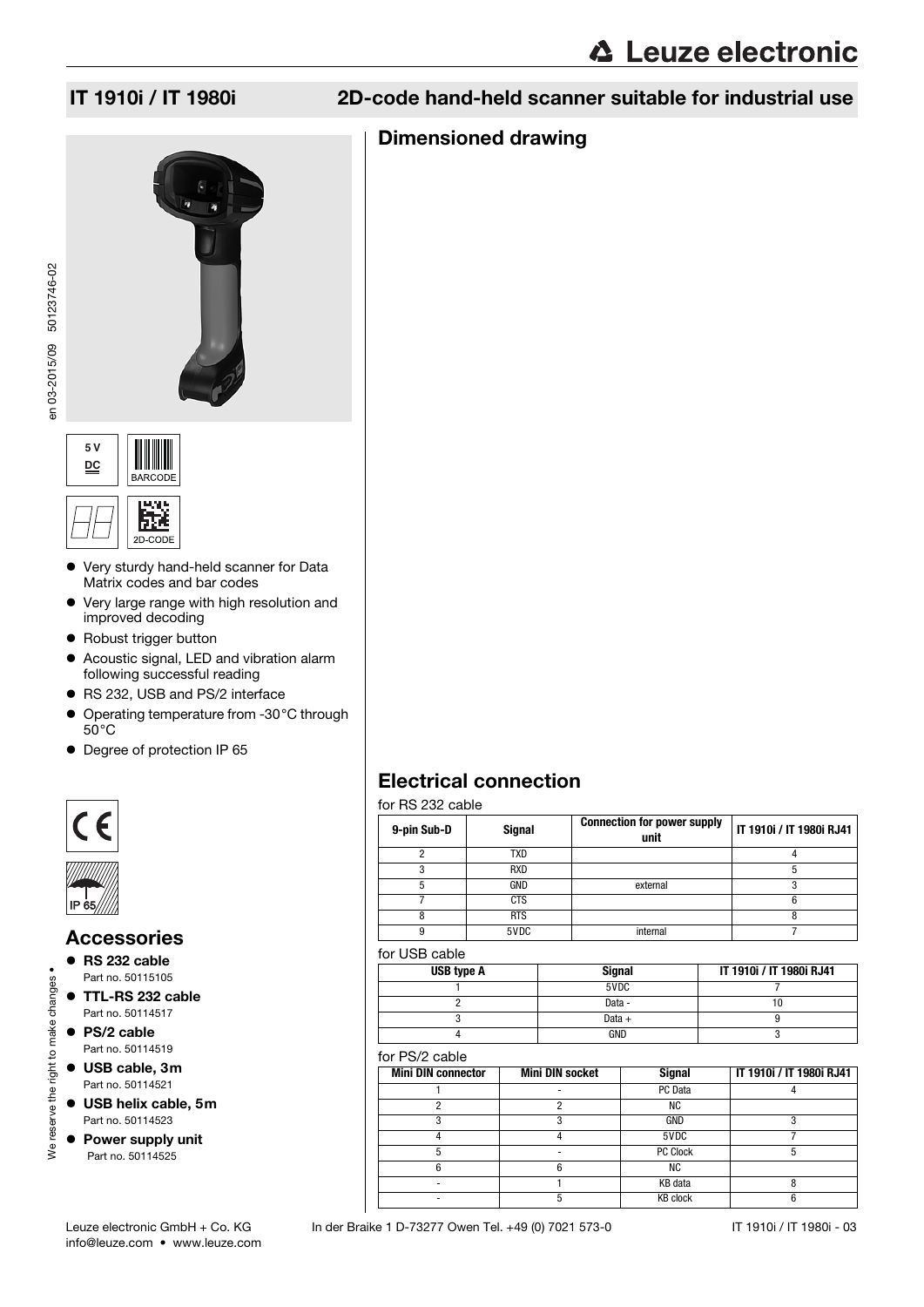# Dimensioned drawing







- Very sturdy hand-held scanner for Data Matrix codes and bar codes
- Very large range with high resolution and improved decoding
- Robust trigger button
- Acoustic signal, LED and vibration alarm following successful reading
- RS 232, USB and PS/2 interface
- Operating temperature from -30°C through  $50^{\circ}$ C
- Degree of protection IP 65



# Accessories

- RS 232 cable
- Part no. 50115105
- TTL-RS 232 cable Part no. 50114517
- PS/2 cable Part no. 50114519

We reserve the right to make changes •

We reserve the right to make changes

- USB cable, 3m Part no. 50114521
- USB helix cable, 5m Part no. 50114523
- Power supply unit Part no. 50114525

Electrical connection for RS 232 cable

| טושגט בטב טאו וטו |               |                                            |                          |
|-------------------|---------------|--------------------------------------------|--------------------------|
| 9-pin Sub-D       | <b>Signal</b> | <b>Connection for power supply</b><br>unit | IT 1910i / IT 1980i RJ41 |
| ≘                 | TXD           |                                            |                          |
|                   | <b>RXD</b>    |                                            | 5                        |
| 5                 | GND           | external                                   |                          |
|                   | <b>CTS</b>    |                                            | 6                        |
| 8                 | <b>RTS</b>    |                                            |                          |
| g                 | 5VDC          | internal                                   |                          |
|                   |               |                                            |                          |

### for USB cable

| USB type A | <b>Signal</b> | IT 1910i / IT 1980i RJ41 |
|------------|---------------|--------------------------|
|            | 5VDC          |                          |
|            | Data -        |                          |
|            | Data $+$      |                          |
|            | <b>GND</b>    |                          |

#### for PS/2 cable

| <b>Mini DIN connector</b> | <b>Mini DIN socket</b> | <b>Signal</b>   | IT 1910i / IT 1980i RJ41 |
|---------------------------|------------------------|-----------------|--------------------------|
|                           |                        | PC Data         |                          |
|                           |                        | ΝC              |                          |
|                           |                        | GND             |                          |
|                           |                        | 5VDC            |                          |
|                           |                        | PC Clock        |                          |
|                           |                        | ΝC              |                          |
|                           |                        | KB data         |                          |
|                           |                        | <b>KB clock</b> |                          |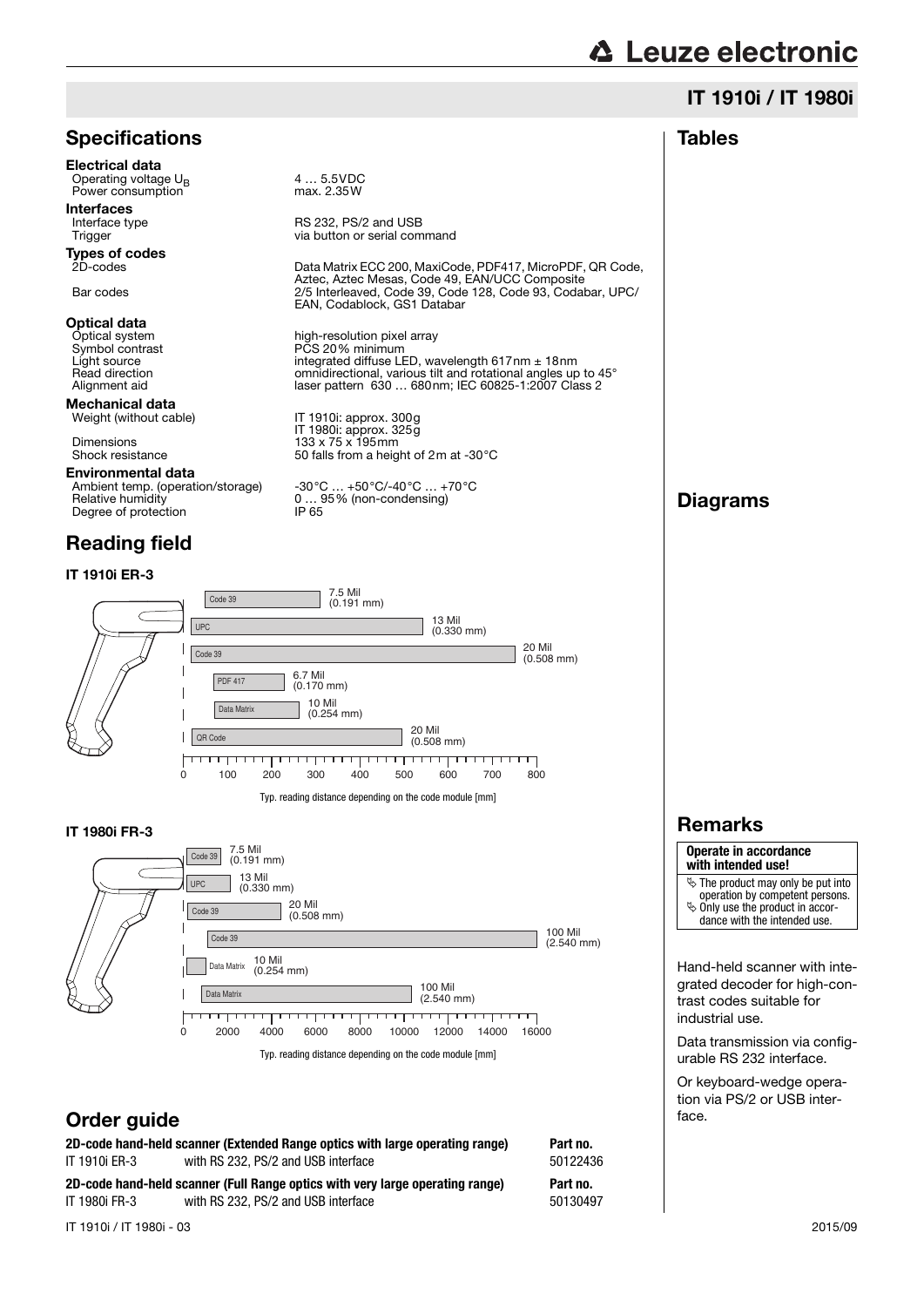# IT 1910i / IT 1980i

| <b>Specifications</b>                                                                                                                                                                                                                                                                                                                                                                                                          |                                                                                                                                                                                                                                                                                                                                                                                                                                                                                                                                                                                                                                                                                                                                            | <b>Tables</b>                                                                                                                                                                                                                                                                                                                                                                                                                                           |
|--------------------------------------------------------------------------------------------------------------------------------------------------------------------------------------------------------------------------------------------------------------------------------------------------------------------------------------------------------------------------------------------------------------------------------|--------------------------------------------------------------------------------------------------------------------------------------------------------------------------------------------------------------------------------------------------------------------------------------------------------------------------------------------------------------------------------------------------------------------------------------------------------------------------------------------------------------------------------------------------------------------------------------------------------------------------------------------------------------------------------------------------------------------------------------------|---------------------------------------------------------------------------------------------------------------------------------------------------------------------------------------------------------------------------------------------------------------------------------------------------------------------------------------------------------------------------------------------------------------------------------------------------------|
| Electrical data<br>Operating voltage U <sub>R</sub><br>Power consumption<br><b>Interfaces</b><br>Interface type<br>Trigger<br><b>Types of codes</b><br>2D-codes<br>Bar codes<br>Optical data<br>Optical system<br>Symbol contrast<br>Light source<br>Read direction<br>Alignment aid<br>Mechanical data<br>Weight (without cable)<br>Dimensions<br>Shock resistance<br>Environmental data<br>Ambient temp. (operation/storage) | 4  5.5VDC<br>max. 2.35W<br>RS 232, PS/2 and USB<br>via button or serial command<br>Data Matrix ECC 200, MaxiCode, PDF417, MicroPDF, QR Code,<br>Aztec, Aztec Mesas, Code 49, EAN/UCC Composite<br>2/5 Interleaved, Code 39, Code 128, Code 93, Codabar, UPC/<br>EAN, Codablock, GS1 Databar<br>high-resolution pixel array<br>PCS 20% minimum<br>integrated diffuse LED, wavelength $617$ nm $\pm$ 18nm<br>omnidirectional, various tilt and rotational angles up to 45°<br>laser pattern 630  680nm; IEC 60825-1:2007 Class 2<br>IT 1910: approx. 300g<br>IT 1980i: approx. 325g<br>$133 \times 75 \times 195$ mm<br>50 falls from a height of 2m at -30 $^{\circ}$ C<br>$-30^{\circ}$ C $+50^{\circ}$ C/-40 $^{\circ}$ C $+70^{\circ}$ C |                                                                                                                                                                                                                                                                                                                                                                                                                                                         |
| Relative humidity<br>Degree of protection                                                                                                                                                                                                                                                                                                                                                                                      | $095\%$ (non-condensing)<br>IP 65                                                                                                                                                                                                                                                                                                                                                                                                                                                                                                                                                                                                                                                                                                          | <b>Diagrams</b>                                                                                                                                                                                                                                                                                                                                                                                                                                         |
| <b>Reading field</b>                                                                                                                                                                                                                                                                                                                                                                                                           |                                                                                                                                                                                                                                                                                                                                                                                                                                                                                                                                                                                                                                                                                                                                            |                                                                                                                                                                                                                                                                                                                                                                                                                                                         |
| <b>IT 1910i ER-3</b>                                                                                                                                                                                                                                                                                                                                                                                                           |                                                                                                                                                                                                                                                                                                                                                                                                                                                                                                                                                                                                                                                                                                                                            |                                                                                                                                                                                                                                                                                                                                                                                                                                                         |
| Code 39<br><b>UPC</b><br>Code 39<br><b>PDF 417</b><br>Data Matrix<br>QR Code<br>200<br>0<br>100                                                                                                                                                                                                                                                                                                                                | 7.5 Mil<br>$(0.191 \text{ mm})$<br>13 Mil<br>$(0.330$ mm $)$<br>20 Mil<br>$(0.508$ mm)<br>6.7 Mil<br>$(0.170 \text{ mm})$<br>10 Mil<br>$(0.254$ mm)<br>20 Mil<br>$(0.508$ mm $)$<br>-11<br>1   1  <br>л.<br>300<br>400<br>500<br>600<br>700<br>800<br>Typ. reading distance depending on the code module [mm]                                                                                                                                                                                                                                                                                                                                                                                                                              |                                                                                                                                                                                                                                                                                                                                                                                                                                                         |
| <b>IT 1980i FR-3</b>                                                                                                                                                                                                                                                                                                                                                                                                           |                                                                                                                                                                                                                                                                                                                                                                                                                                                                                                                                                                                                                                                                                                                                            | <b>Remarks</b>                                                                                                                                                                                                                                                                                                                                                                                                                                          |
| 7.5 Mil<br>Code 39<br>$(0.191$ mm $)$<br>13 Mil<br><b>UPC</b><br>$(0.330$ mm $)$<br>Code 39<br>Code 39<br>10 Mil<br>Data Matrix<br>$(0.254$ mm)<br>Data Matrix<br>ममा मा<br>4000<br>0<br>2000<br>Order guide                                                                                                                                                                                                                   | 20 Mil<br>$(0.508$ mm $)$<br>100 Mil<br>$(2.540$ mm $)$<br>100 Mil<br>$(2.540$ mm $)$<br><del>,,,,,,,,,,,,,,,,,,,,,,,</del><br>1 1 1 1 1 1 1 1 1<br>8000<br>6000<br>10000<br>12000<br>14000<br>16000<br>Typ. reading distance depending on the code module [mm]                                                                                                                                                                                                                                                                                                                                                                                                                                                                            | Operate in accordance<br>with intended use!<br>$\&$ The product may only be put into<br>operation by competent persons.<br>$\ddot{\phi}$ Only use the product in accor-<br>dance with the intended use.<br>Hand-held scanner with inte-<br>grated decoder for high-con-<br>trast codes suitable for<br>industrial use.<br>Data transmission via config-<br>urable RS 232 interface.<br>Or keyboard-wedge opera-<br>tion via PS/2 or USB inter-<br>face. |
| 2D-code hand-held scanner (Extended Range optics with large operating range)<br>with RS 232, PS/2 and USB interface<br>IT 1910i ER-3                                                                                                                                                                                                                                                                                           | Part no.<br>50122436                                                                                                                                                                                                                                                                                                                                                                                                                                                                                                                                                                                                                                                                                                                       |                                                                                                                                                                                                                                                                                                                                                                                                                                                         |

**2D-code hand-held scanner (Full Range optics with very large operating range) Part no.** IT 1980i FR-3 with RS 232, PS/2 and USB interface 50130497

IT 1910i / IT 1980i - 03 2015/09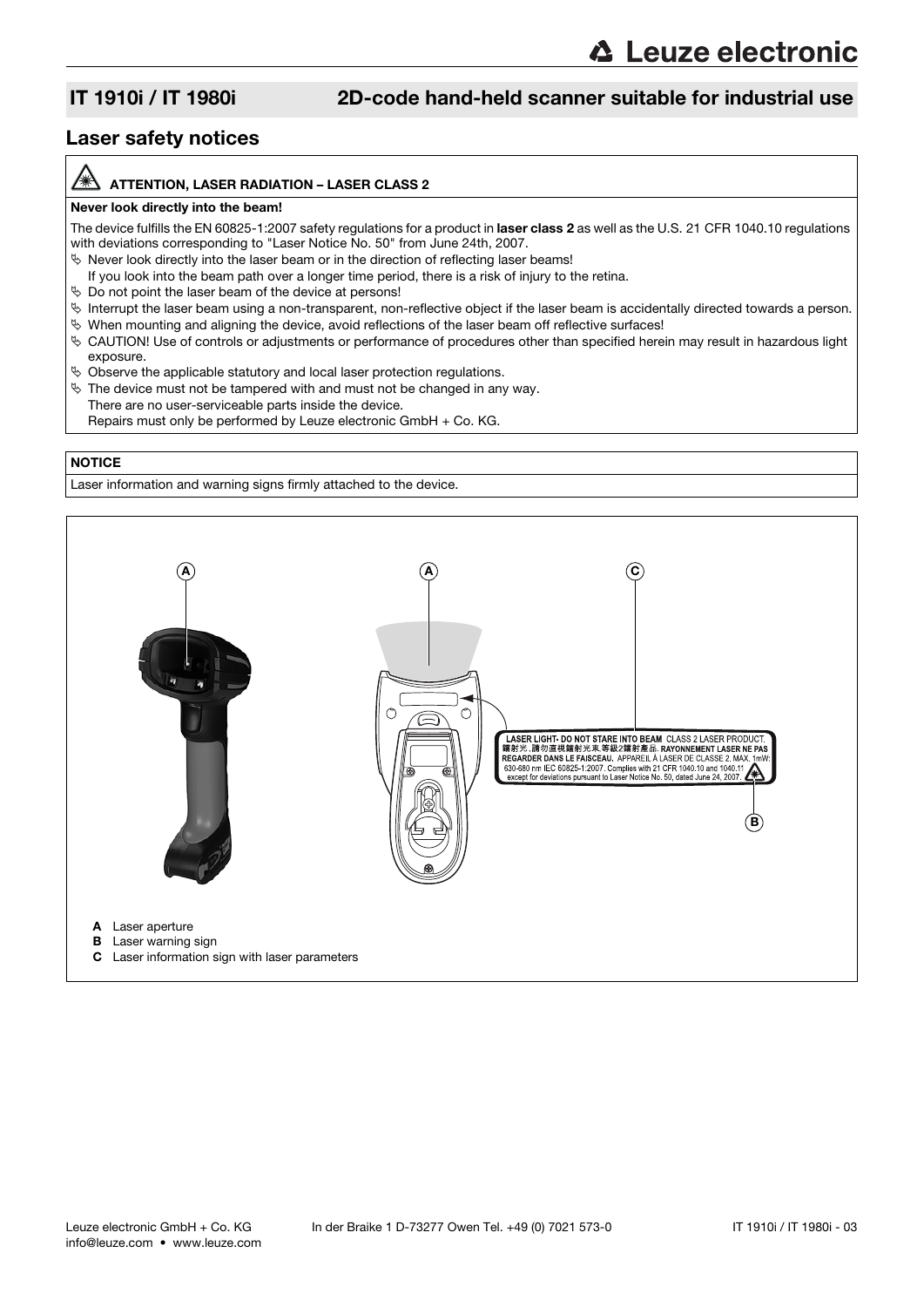## Laser safety notices

#### ATTENTION, LASER RADIATION – LASER CLASS 2

#### Never look directly into the beam!

The device fulfills the EN 60825-1:2007 safety regulations for a product in laser class 2 as well as the U.S. 21 CFR 1040.10 regulations with deviations corresponding to "Laser Notice No. 50" from June 24th, 2007.

 $\%$  Never look directly into the laser beam or in the direction of reflecting laser beams!

- If you look into the beam path over a longer time period, there is a risk of injury to the retina.
- $\%$  Do not point the laser beam of the device at persons!
- $\%$  Interrupt the laser beam using a non-transparent, non-reflective object if the laser beam is accidentally directed towards a person.
- $\%$  When mounting and aligning the device, avoid reflections of the laser beam off reflective surfaces!
- CAUTION! Use of controls or adjustments or performance of procedures other than specified herein may result in hazardous light exposure.
- $\%$  Observe the applicable statutory and local laser protection regulations.
- $\%$  The device must not be tampered with and must not be changed in any way.
	- There are no user-serviceable parts inside the device. Repairs must only be performed by Leuze electronic GmbH + Co. KG.

#### **NOTICE**

Laser information and warning signs firmly attached to the device.

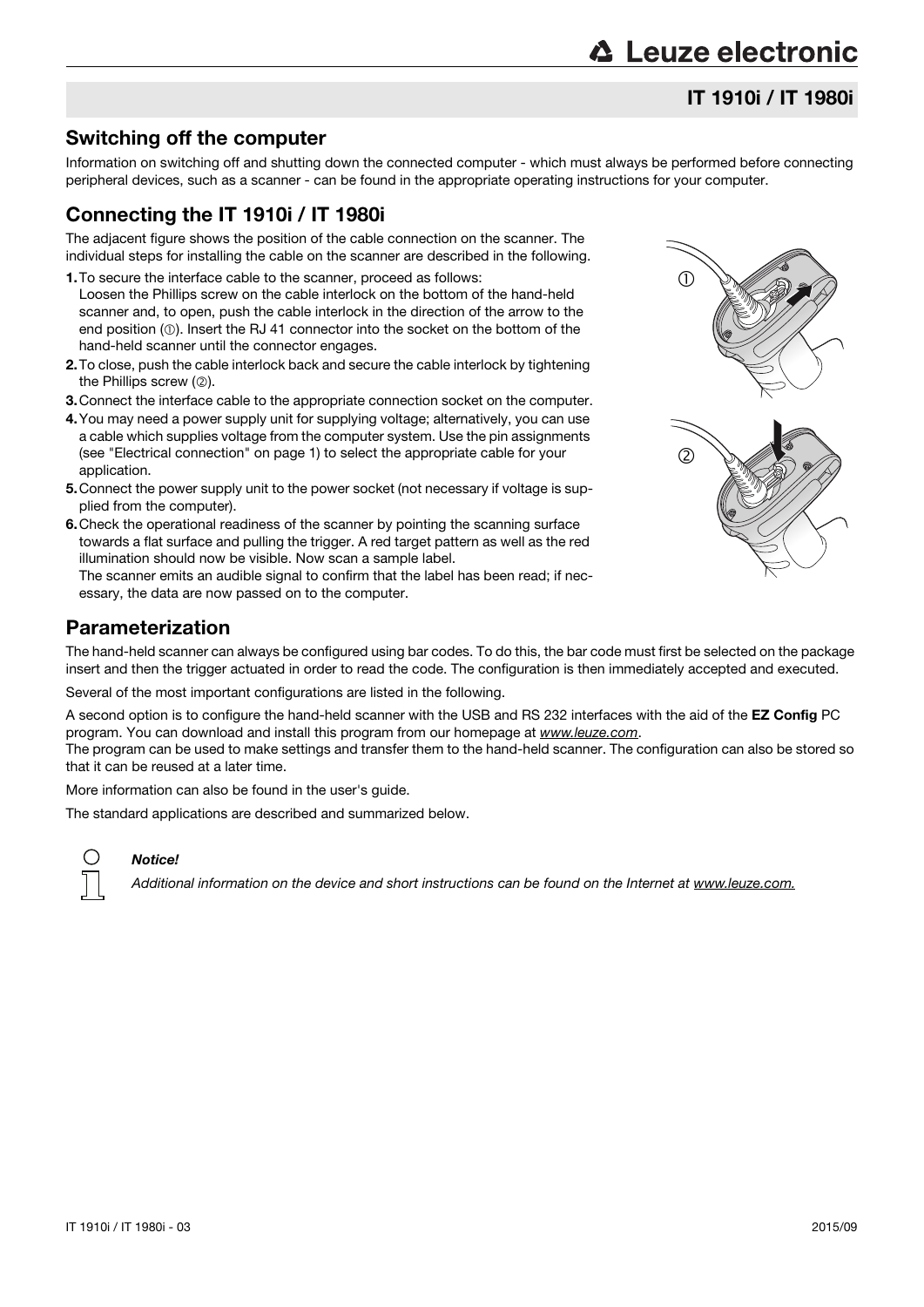# Switching off the computer

Information on switching off and shutting down the connected computer - which must always be performed before connecting peripheral devices, such as a scanner - can be found in the appropriate operating instructions for your computer.

# Connecting the IT 1910i / IT 1980i

The adjacent figure shows the position of the cable connection on the scanner. The individual steps for installing the cable on the scanner are described in the following.

- 1.To secure the interface cable to the scanner, proceed as follows: Loosen the Phillips screw on the cable interlock on the bottom of the hand-held scanner and, to open, push the cable interlock in the direction of the arrow to the end position  $(\mathbb{O})$ . Insert the RJ 41 connector into the socket on the bottom of the hand-held scanner until the connector engages.
- 2.To close, push the cable interlock back and secure the cable interlock by tightening the Phillips screw  $(2)$ .
- 3.Connect the interface cable to the appropriate connection socket on the computer.
- 4.You may need a power supply unit for supplying voltage; alternatively, you can use a cable which supplies voltage from the computer system. Use the pin assignments (see "Electrical connection" on page 1) to select the appropriate cable for your application.
- 5.Connect the power supply unit to the power socket (not necessary if voltage is supplied from the computer).
- 6.Check the operational readiness of the scanner by pointing the scanning surface towards a flat surface and pulling the trigger. A red target pattern as well as the red illumination should now be visible. Now scan a sample label.

The scanner emits an audible signal to confirm that the label has been read; if necessary, the data are now passed on to the computer.

## Parameterization

The hand-held scanner can always be configured using bar codes. To do this, the bar code must first be selected on the package insert and then the trigger actuated in order to read the code. The configuration is then immediately accepted and executed.

Several of the most important configurations are listed in the following.

A second option is to configure the hand-held scanner with the USB and RS 232 interfaces with the aid of the EZ Config PC program. You can download and install this program from our homepage at www.leuze.com.

The program can be used to make settings and transfer them to the hand-held scanner. The configuration can also be stored so that it can be reused at a later time.

More information can also be found in the user's guide.

The standard applications are described and summarized below.



### Notice!

Additional information on the device and short instructions can be found on the Internet at www.leuze.com.

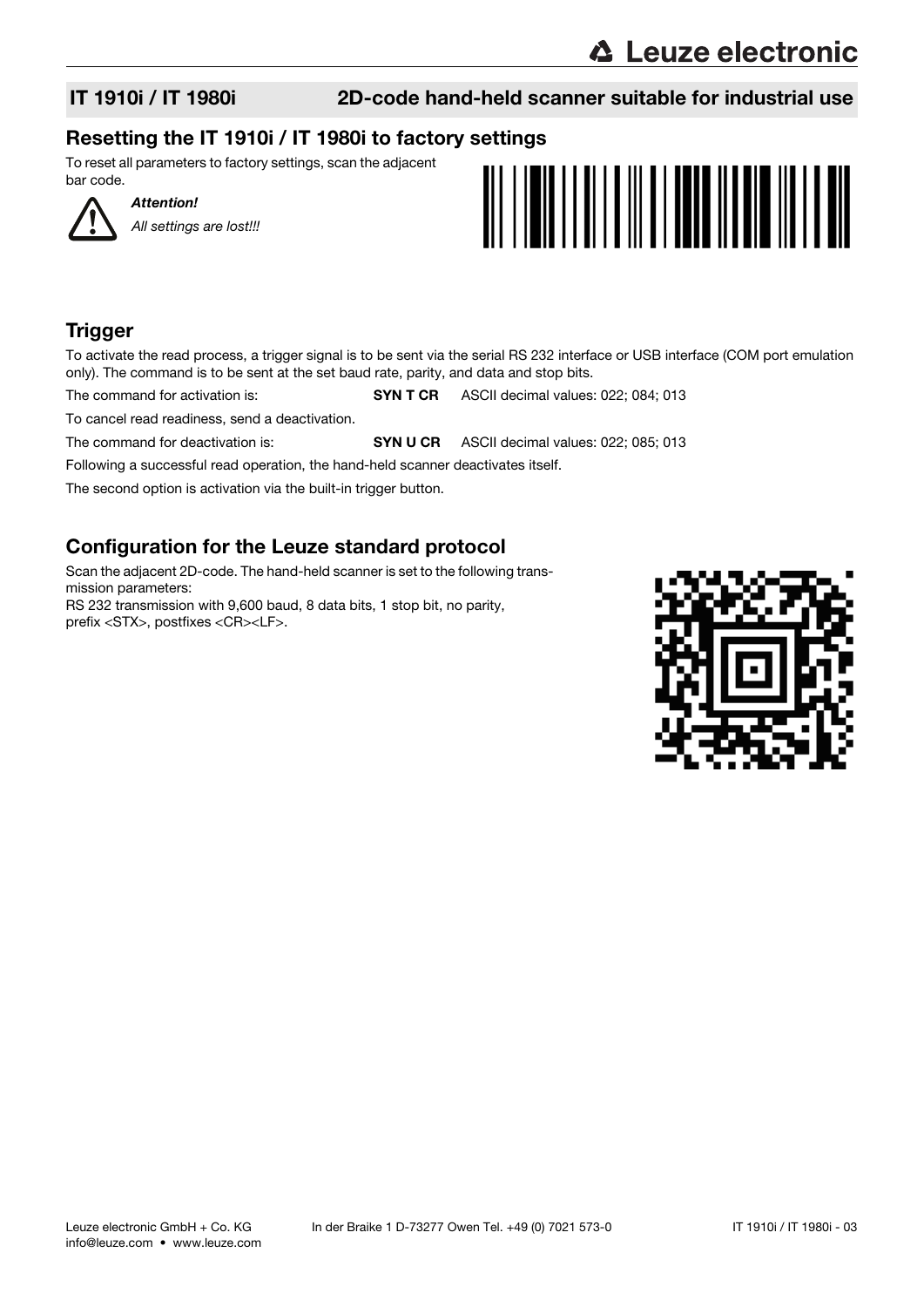Attention!

All settings are lost!!!

# IT 1910i / IT 1980i 2D-code hand-held scanner suitable for industrial use

# Resetting the IT 1910i / IT 1980i to factory settings

To reset all parameters to factory settings, scan the adjacent bar code.

# **Trigger**

To activate the read process, a trigger signal is to be sent via the serial RS 232 interface or USB interface (COM port emulation only). The command is to be sent at the set baud rate, parity, and data and stop bits.

The command for activation is: SYN T CR ASCII decimal values: 022; 084; 013

To cancel read readiness, send a deactivation.

The command for deactivation is: SYN U CR ASCII decimal values: 022; 085; 013

Following a successful read operation, the hand-held scanner deactivates itself.

The second option is activation via the built-in trigger button.

# Configuration for the Leuze standard protocol

Scan the adjacent 2D-code. The hand-held scanner is set to the following transmission parameters: RS 232 transmission with 9,600 baud, 8 data bits, 1 stop bit, no parity, prefix <STX>, postfixes <CR><LF>.

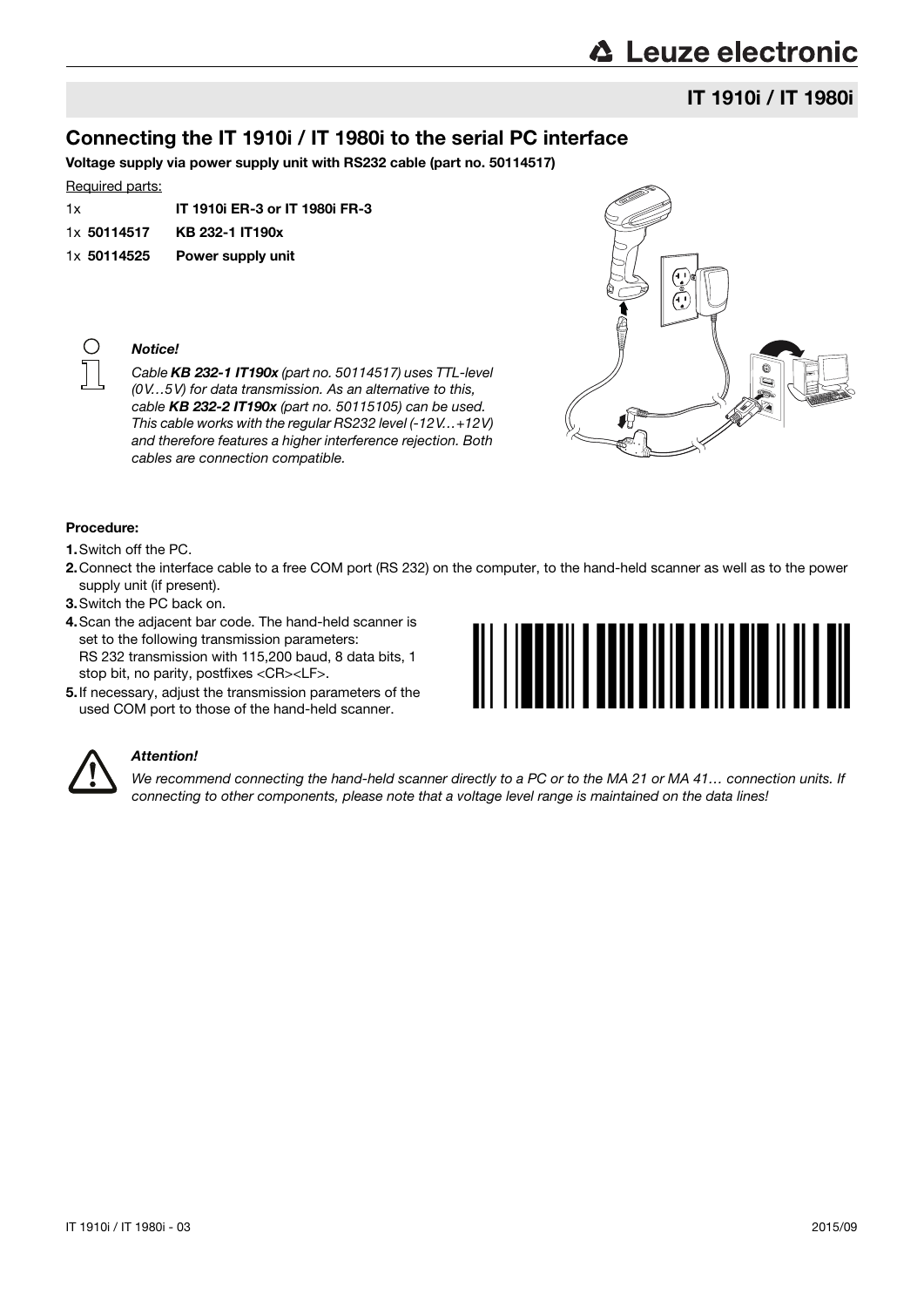# **△ Leuze electronic**

# IT 1910i / IT 1980i

# Connecting the IT 1910i / IT 1980i to the serial PC interface

Voltage supply via power supply unit with RS232 cable (part no. 50114517)

#### Required parts:

| 1x          | <b>IT 1910i ER-3 or IT 1980i FR-3</b> |
|-------------|---------------------------------------|
| 1x 50114517 | KB 232-1 IT190x                       |
| 1x 50114525 | Power supply unit                     |



Notice!

Cable KB 232-1 IT190x (part no. 50114517) uses TTL-level (0V…5V) for data transmission. As an alternative to this, cable KB 232-2 IT190x (part no. 50115105) can be used. This cable works with the regular RS232 level (-12V…+12V) and therefore features a higher interference rejection. Both cables are connection compatible.



#### Procedure:

- 1.Switch off the PC.
- 2.Connect the interface cable to a free COM port (RS 232) on the computer, to the hand-held scanner as well as to the power supply unit (if present).
- 3.Switch the PC back on.
- 4.Scan the adjacent bar code. The hand-held scanner is set to the following transmission parameters: RS 232 transmission with 115,200 baud, 8 data bits, 1 stop bit, no parity, postfixes <CR><LF>.
- 5.If necessary, adjust the transmission parameters of the used COM port to those of the hand-held scanner.





#### Attention!

We recommend connecting the hand-held scanner directly to a PC or to the MA 21 or MA 41... connection units. If connecting to other components, please note that a voltage level range is maintained on the data lines!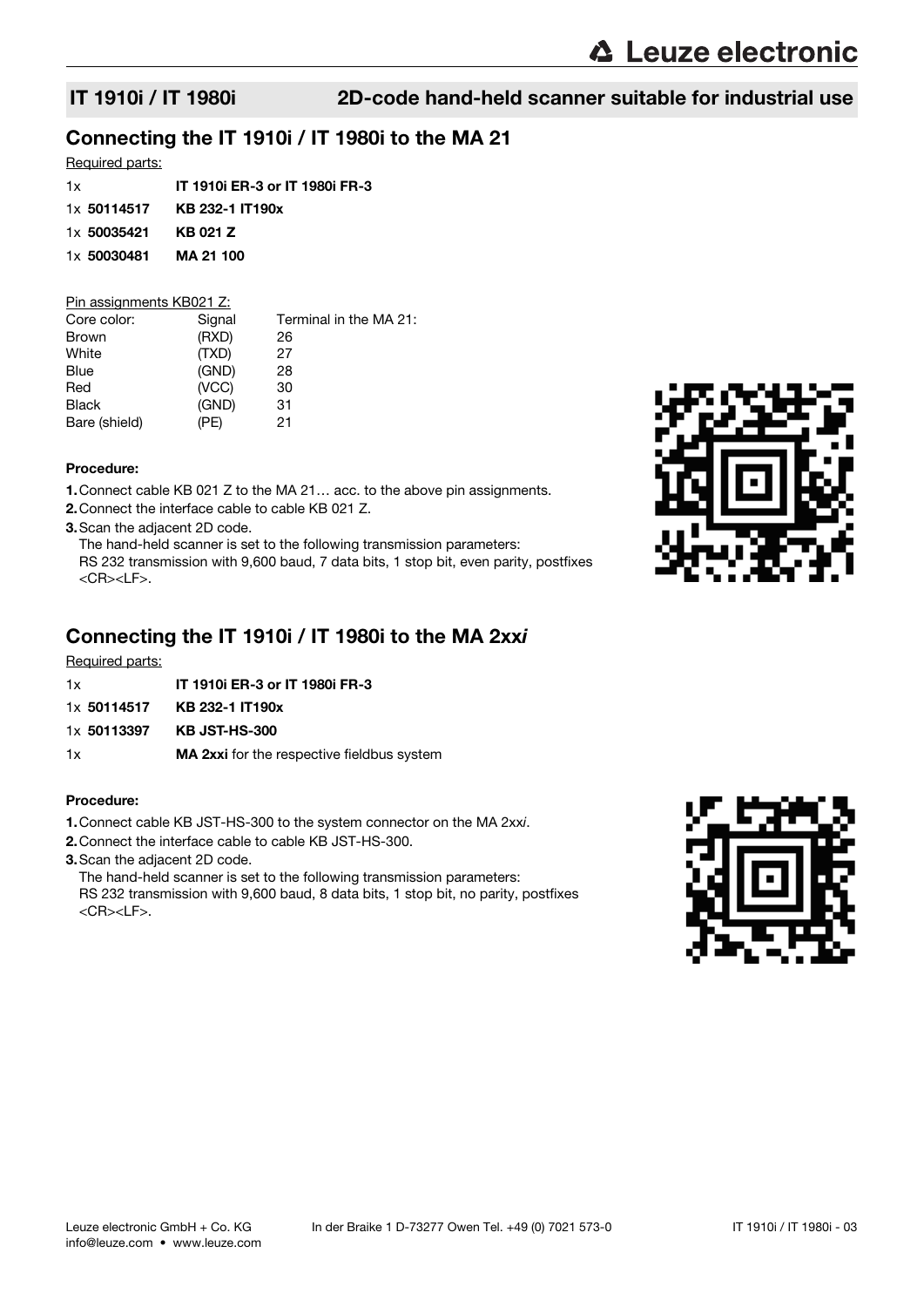# Connecting the IT 1910i / IT 1980i to the MA 21

### Required parts:

| 1x          | <b>IT 1910i ER-3 or IT 1980i FR-3</b> |
|-------------|---------------------------------------|
| 1x 50114517 | KB 232-1 IT190x                       |
| 1x 50035421 | KB 021 Z                              |
| 1x 50030481 | <b>MA 21 100</b>                      |
|             |                                       |

### Pin assignments KB021 Z:

| Signal | Terminal in the MA 21: |
|--------|------------------------|
| (RXD)  | 26                     |
| (TXD)  | 27                     |
| (GND)  | 28                     |
| (VCC)  | 30                     |
| (GND)  | 31                     |
| (PE)   | 21                     |
|        |                        |

### Procedure:

1.Connect cable KB 021 Z to the MA 21… acc. to the above pin assignments.

- 2.Connect the interface cable to cable KB 021 Z.
- 3.Scan the adjacent 2D code.

The hand-held scanner is set to the following transmission parameters:

RS 232 transmission with 9,600 baud, 7 data bits, 1 stop bit, even parity, postfixes <CR><LF>.

## Connecting the IT 1910i / IT 1980i to the MA 2xxi

Required parts:

- 1x IT 1910i ER-3 or IT 1980i FR-3 1x 50114517 KB 232-1 IT190x
- 
- 1x 50113397 KB JST-HS-300
- 1x MA 2xxi for the respective fieldbus system

#### Procedure:

- 1.Connect cable KB JST-HS-300 to the system connector on the MA 2xxi.
- 2.Connect the interface cable to cable KB JST-HS-300.
- 3.Scan the adjacent 2D code.

The hand-held scanner is set to the following transmission parameters: RS 232 transmission with 9,600 baud, 8 data bits, 1 stop bit, no parity, postfixes <CR><LF>.



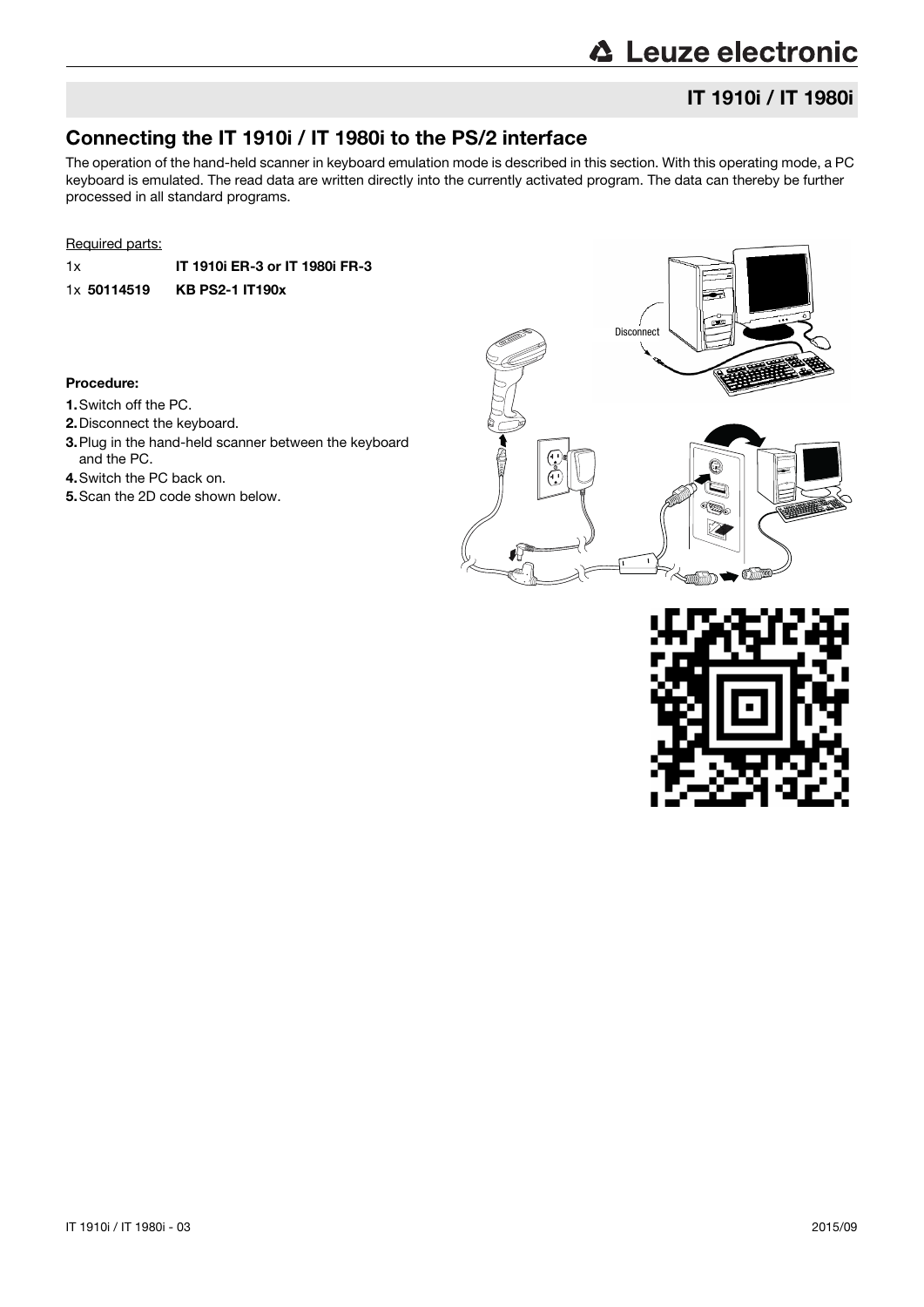# **△ Leuze electronic**

# IT 1910i / IT 1980i

# Connecting the IT 1910i / IT 1980i to the PS/2 interface

The operation of the hand-held scanner in keyboard emulation mode is described in this section. With this operating mode, a PC keyboard is emulated. The read data are written directly into the currently activated program. The data can thereby be further processed in all standard programs.

#### Required parts:

1x IT 1910i ER-3 or IT 1980i FR-3 1x 50114519 KB PS2-1 IT190x

#### Procedure:

- 1.Switch off the PC.
- 2.Disconnect the keyboard.
- 3.Plug in the hand-held scanner between the keyboard and the PC.
- 4.Switch the PC back on.
- 5.Scan the 2D code shown below.



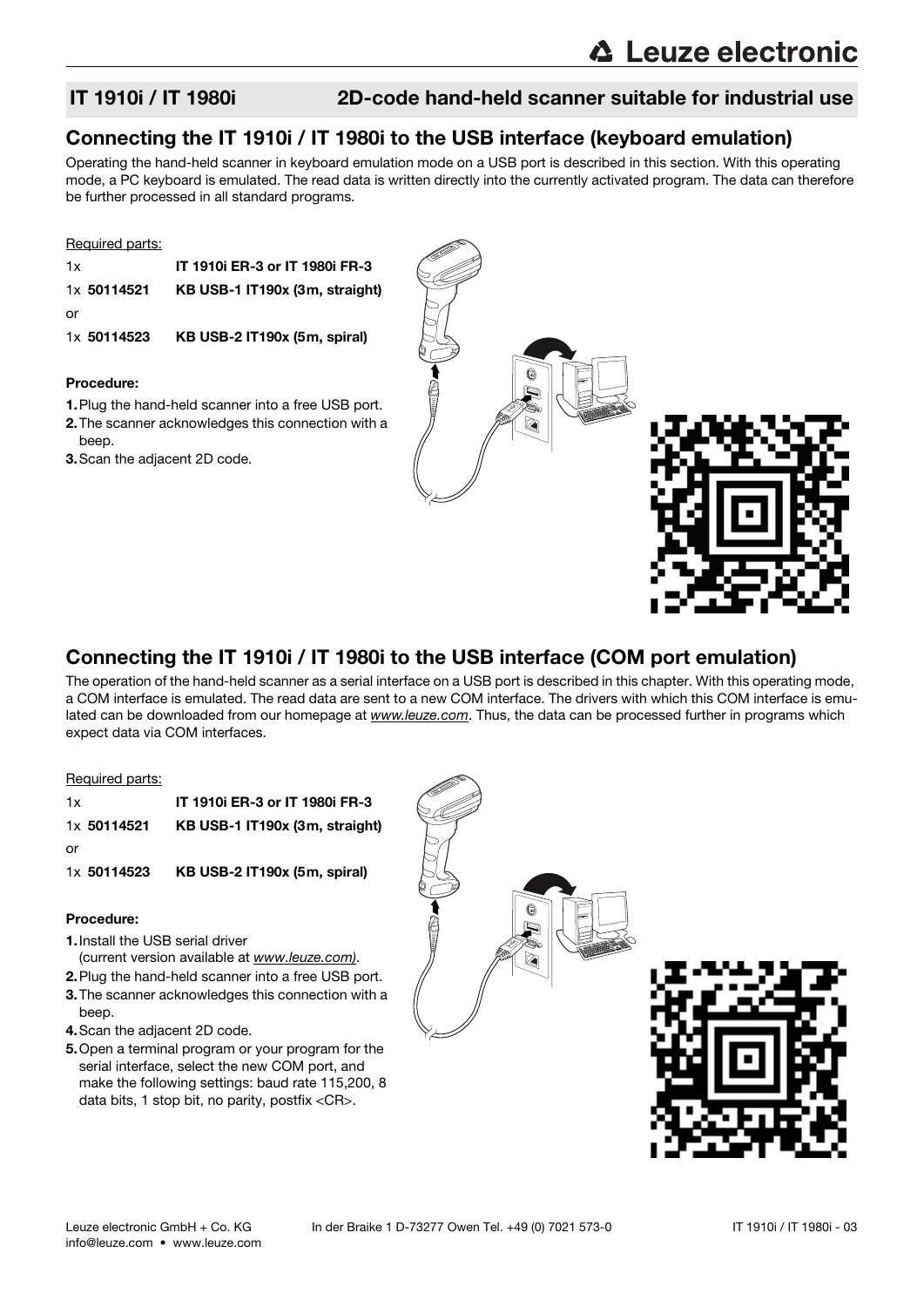# Connecting the IT 1910i / IT 1980i to the USB interface (keyboard emulation)

Operating the hand-held scanner in keyboard emulation mode on a USB port is described in this section. With this operating mode, a PC keyboard is emulated. The read data is written directly into the currently activated program. The data can therefore be further processed in all standard programs.

#### Required parts:

| 1x          | IT 1910i ER-3 or IT 1980i FR-3 |
|-------------|--------------------------------|
| 1x 50114521 | KB USB-1 IT190x (3m, straight) |
| or          |                                |
| 1x 50114523 | KB USB-2 IT190x (5m, spiral)   |

#### Procedure:

- 1.Plug the hand-held scanner into a free USB port. 2.The scanner acknowledges this connection with a
- beep.
- 3.Scan the adjacent 2D code.



# Connecting the IT 1910i / IT 1980i to the USB interface (COM port emulation)

The operation of the hand-held scanner as a serial interface on a USB port is described in this chapter. With this operating mode, a COM interface is emulated. The read data are sent to a new COM interface. The drivers with which this COM interface is emulated can be downloaded from our homepage at www.leuze.com. Thus, the data can be processed further in programs which expect data via COM interfaces.

#### Required parts:

| 1x          | IT 1910i ER-3 or IT 1980i FR-3 |
|-------------|--------------------------------|
| 1x 50114521 | KB USB-1 IT190x (3m, straight) |
| or          |                                |
| 1x 50114523 | KB USB-2 IT190x (5m, spiral)   |

#### Procedure:

- 1.Install the USB serial driver
	- (current version available at www.leuze.com).
- 2.Plug the hand-held scanner into a free USB port. 3.The scanner acknowledges this connection with a
- beep.
- 4.Scan the adjacent 2D code.
- 5.Open a terminal program or your program for the serial interface, select the new COM port, and make the following settings: baud rate 115,200, 8 data bits, 1 stop bit, no parity, postfix <CR>.